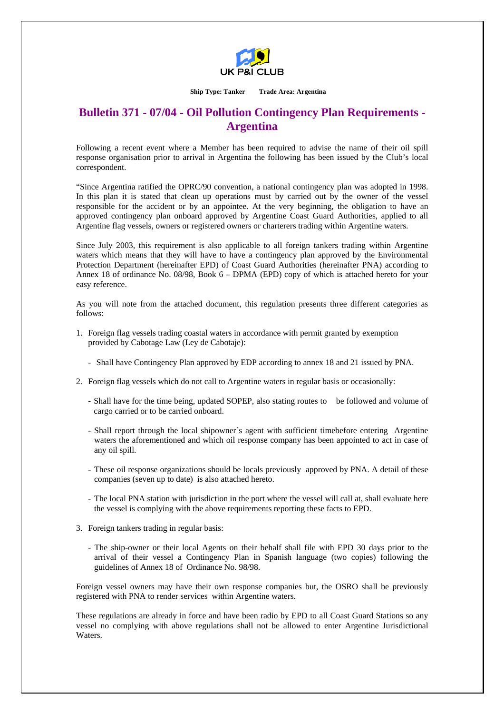

**Ship Type: Tanker Trade Area: Argentina** 

## **Bulletin 371 - 07/04 - Oil Pollution Contingency Plan Requirements - Argentina**

Following a recent event where a Member has been required to advise the name of their oil spill response organisation prior to arrival in Argentina the following has been issued by the Club's local correspondent.

"Since Argentina ratified the OPRC/90 convention, a national contingency plan was adopted in 1998. In this plan it is stated that clean up operations must by carried out by the owner of the vessel responsible for the accident or by an appointee. At the very beginning, the obligation to have an approved contingency plan onboard approved by Argentine Coast Guard Authorities, applied to all Argentine flag vessels, owners or registered owners or charterers trading within Argentine waters.

Since July 2003, this requirement is also applicable to all foreign tankers trading within Argentine waters which means that they will have to have a contingency plan approved by the Environmental Protection Department (hereinafter EPD) of Coast Guard Authorities (hereinafter PNA) according to Annex 18 of ordinance No. 08/98, Book 6 – DPMA (EPD) copy of which is attached hereto for your easy reference.

As you will note from the attached document, this regulation presents three different categories as follows:

- 1. Foreign flag vessels trading coastal waters in accordance with permit granted by exemption provided by Cabotage Law (Ley de Cabotaje):
	- Shall have Contingency Plan approved by EDP according to annex 18 and 21 issued by PNA.
- 2. Foreign flag vessels which do not call to Argentine waters in regular basis or occasionally:
	- Shall have for the time being, updated SOPEP, also stating routes to be followed and volume of cargo carried or to be carried onboard.
	- Shall report through the local shipowner´s agent with sufficient timebefore entering Argentine waters the aforementioned and which oil response company has been appointed to act in case of any oil spill.
	- These oil response organizations should be locals previously approved by PNA. A detail of these companies (seven up to date) is also attached hereto.
	- The local PNA station with jurisdiction in the port where the vessel will call at, shall evaluate here the vessel is complying with the above requirements reporting these facts to EPD.
- 3. Foreign tankers trading in regular basis:
	- The ship-owner or their local Agents on their behalf shall file with EPD 30 days prior to the arrival of their vessel a Contingency Plan in Spanish language (two copies) following the guidelines of Annex 18 of Ordinance No. 98/98.

Foreign vessel owners may have their own response companies but, the OSRO shall be previously registered with PNA to render services within Argentine waters.

These regulations are already in force and have been radio by EPD to all Coast Guard Stations so any vessel no complying with above regulations shall not be allowed to enter Argentine Jurisdictional Waters.